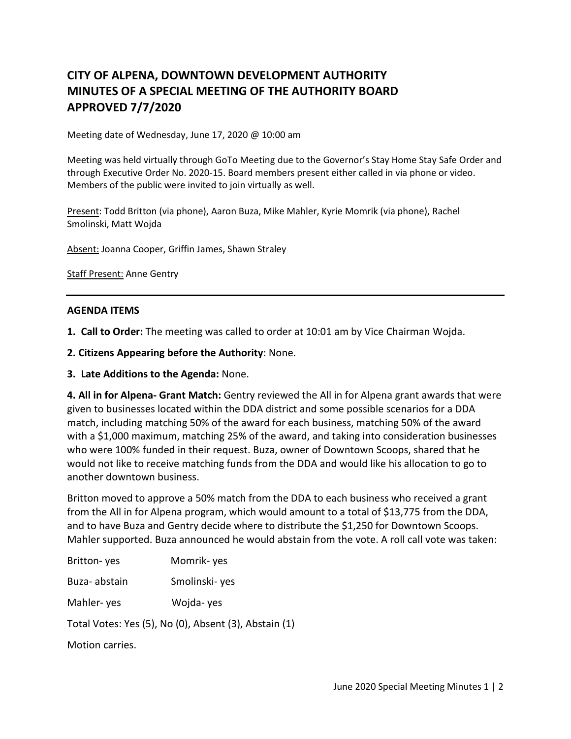## **CITY OF ALPENA, DOWNTOWN DEVELOPMENT AUTHORITY MINUTES OF A SPECIAL MEETING OF THE AUTHORITY BOARD APPROVED 7/7/2020**

Meeting date of Wednesday, June 17, 2020 @ 10:00 am

Meeting was held virtually through GoTo Meeting due to the Governor's Stay Home Stay Safe Order and through Executive Order No. 2020-15. Board members present either called in via phone or video. Members of the public were invited to join virtually as well.

Present: Todd Britton (via phone), Aaron Buza, Mike Mahler, Kyrie Momrik (via phone), Rachel Smolinski, Matt Wojda

Absent: Joanna Cooper, Griffin James, Shawn Straley

Staff Present: Anne Gentry

## **AGENDA ITEMS**

**1. Call to Order:** The meeting was called to order at 10:01 am by Vice Chairman Wojda.

**2. Citizens Appearing before the Authority**: None.

**3. Late Additions to the Agenda:** None.

**4. All in for Alpena- Grant Match:** Gentry reviewed the All in for Alpena grant awards that were given to businesses located within the DDA district and some possible scenarios for a DDA match, including matching 50% of the award for each business, matching 50% of the award with a \$1,000 maximum, matching 25% of the award, and taking into consideration businesses who were 100% funded in their request. Buza, owner of Downtown Scoops, shared that he would not like to receive matching funds from the DDA and would like his allocation to go to another downtown business.

Britton moved to approve a 50% match from the DDA to each business who received a grant from the All in for Alpena program, which would amount to a total of \$13,775 from the DDA, and to have Buza and Gentry decide where to distribute the \$1,250 for Downtown Scoops. Mahler supported. Buza announced he would abstain from the vote. A roll call vote was taken:

Britton- yes Momrik- yes

Buza- abstain Smolinski- yes

Mahler- yes Wojda- yes

Total Votes: Yes (5), No (0), Absent (3), Abstain (1)

Motion carries.